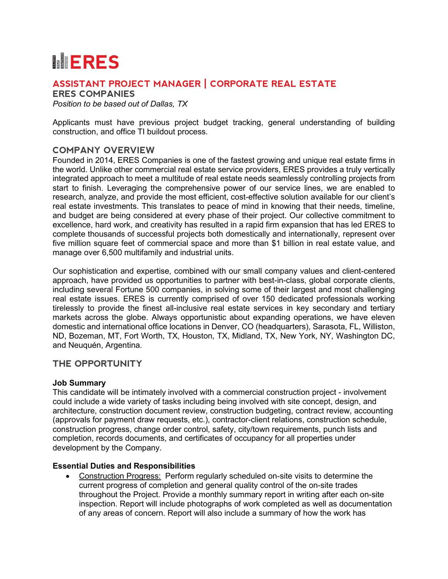# **MERES**

## **ASSISTANT PROJECT MANAGER | CORPORATE REAL ESTATE**

**ERES COMPANIES**

*Position to be based out of Dallas, TX*

Applicants must have previous project budget tracking, general understanding of building construction, and office TI buildout process.

## **COMPANY OVERVIEW**

Founded in 2014, ERES Companies is one of the fastest growing and unique real estate firms in the world. Unlike other commercial real estate service providers, ERES provides a truly vertically integrated approach to meet a multitude of real estate needs seamlessly controlling projects from start to finish. Leveraging the comprehensive power of our service lines, we are enabled to research, analyze, and provide the most efficient, cost-effective solution available for our client's real estate investments. This translates to peace of mind in knowing that their needs, timeline, and budget are being considered at every phase of their project. Our collective commitment to excellence, hard work, and creativity has resulted in a rapid firm expansion that has led ERES to complete thousands of successful projects both domestically and internationally, represent over five million square feet of commercial space and more than \$1 billion in real estate value, and manage over 6,500 multifamily and industrial units.

Our sophistication and expertise, combined with our small company values and client-centered approach, have provided us opportunities to partner with best-in-class, global corporate clients, including several Fortune 500 companies, in solving some of their largest and most challenging real estate issues. ERES is currently comprised of over 150 dedicated professionals working tirelessly to provide the finest all-inclusive real estate services in key secondary and tertiary markets across the globe. Always opportunistic about expanding operations, we have eleven domestic and international office locations in Denver, CO (headquarters), Sarasota, FL, Williston, ND, Bozeman, MT, Fort Worth, TX, Houston, TX, Midland, TX, New York, NY, Washington DC, and Neuquén, Argentina.

## **THE OPPORTUNITY**

#### **Job Summary**

This candidate will be intimately involved with a commercial construction project - involvement could include a wide variety of tasks including being involved with site concept, design, and architecture, construction document review, construction budgeting, contract review, accounting (approvals for payment draw requests, etc.), contractor-client relations, construction schedule, construction progress, change order control, safety, city/town requirements, punch lists and completion, records documents, and certificates of occupancy for all properties under development by the Company.

## **Essential Duties and Responsibilities**

• Construction Progress:Perform regularly scheduled on-site visits to determine the current progress of completion and general quality control of the on-site trades throughout the Project. Provide a monthly summary report in writing after each on-site inspection. Report will include photographs of work completed as well as documentation of any areas of concern. Report will also include a summary of how the work has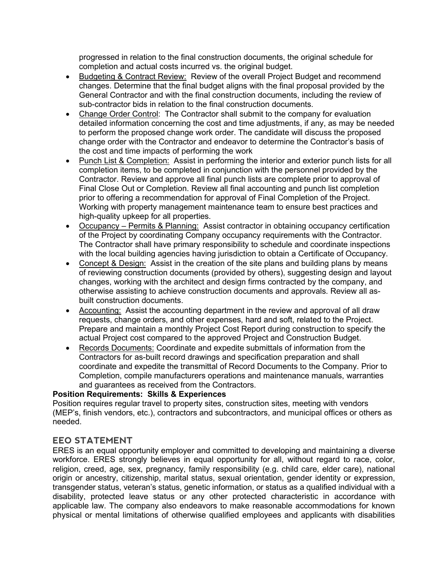progressed in relation to the final construction documents, the original schedule for completion and actual costs incurred vs. the original budget.

- Budgeting & Contract Review: Review of the overall Project Budget and recommend changes. Determine that the final budget aligns with the final proposal provided by the General Contractor and with the final construction documents, including the review of sub-contractor bids in relation to the final construction documents.
- Change Order Control: The Contractor shall submit to the company for evaluation detailed information concerning the cost and time adjustments, if any, as may be needed to perform the proposed change work order. The candidate will discuss the proposed change order with the Contractor and endeavor to determine the Contractor's basis of the cost and time impacts of performing the work
- Punch List & Completion: Assist in performing the interior and exterior punch lists for all completion items, to be completed in conjunction with the personnel provided by the Contractor. Review and approve all final punch lists are complete prior to approval of Final Close Out or Completion. Review all final accounting and punch list completion prior to offering a recommendation for approval of Final Completion of the Project. Working with property management maintenance team to ensure best practices and high-quality upkeep for all properties.
- Occupancy Permits & Planning: Assist contractor in obtaining occupancy certification of the Project by coordinating Company occupancy requirements with the Contractor. The Contractor shall have primary responsibility to schedule and coordinate inspections with the local building agencies having jurisdiction to obtain a Certificate of Occupancy.
- Concept & Design: Assist in the creation of the site plans and building plans by means of reviewing construction documents (provided by others), suggesting design and layout changes, working with the architect and design firms contracted by the company, and otherwise assisting to achieve construction documents and approvals. Review all asbuilt construction documents.
- Accounting: Assist the accounting department in the review and approval of all draw requests, change orders, and other expenses, hard and soft, related to the Project. Prepare and maintain a monthly Project Cost Report during construction to specify the actual Project cost compared to the approved Project and Construction Budget.
- Records Documents: Coordinate and expedite submittals of information from the Contractors for as-built record drawings and specification preparation and shall coordinate and expedite the transmittal of Record Documents to the Company. Prior to Completion, compile manufacturers operations and maintenance manuals, warranties and guarantees as received from the Contractors.

#### **Position Requirements: Skills & Experiences**

Position requires regular travel to property sites, construction sites, meeting with vendors (MEP's, finish vendors, etc.), contractors and subcontractors, and municipal offices or others as needed.

## **EEO STATEMENT**

ERES is an equal opportunity employer and committed to developing and maintaining a diverse workforce. ERES strongly believes in equal opportunity for all, without regard to race, color, religion, creed, age, sex, pregnancy, family responsibility (e.g. child care, elder care), national origin or ancestry, citizenship, marital status, sexual orientation, gender identity or expression, transgender status, veteran's status, genetic information, or status as a qualified individual with a disability, protected leave status or any other protected characteristic in accordance with applicable law. The company also endeavors to make reasonable accommodations for known physical or mental limitations of otherwise qualified employees and applicants with disabilities